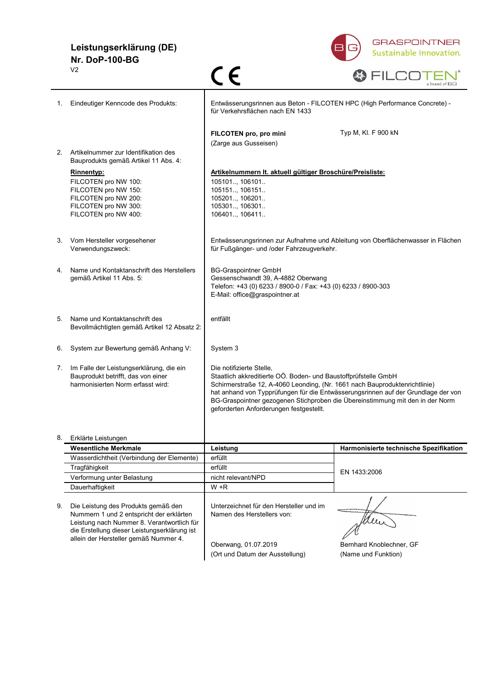# **Leistungserklärung (DE) Nr. DoP-100-BG**



|    | V <sub>2</sub>                                                                                                                                                                                                                            | C E                                                                                                                                                                                                                                                                                                                                                                                       | a brand of BG                                                                   |
|----|-------------------------------------------------------------------------------------------------------------------------------------------------------------------------------------------------------------------------------------------|-------------------------------------------------------------------------------------------------------------------------------------------------------------------------------------------------------------------------------------------------------------------------------------------------------------------------------------------------------------------------------------------|---------------------------------------------------------------------------------|
| 1. | Eindeutiger Kenncode des Produkts:                                                                                                                                                                                                        | Entwässerungsrinnen aus Beton - FILCOTEN HPC (High Performance Concrete) -<br>für Verkehrsflächen nach EN 1433                                                                                                                                                                                                                                                                            |                                                                                 |
|    |                                                                                                                                                                                                                                           | FILCOTEN pro, pro mini                                                                                                                                                                                                                                                                                                                                                                    | Typ M, KI. F 900 kN                                                             |
|    |                                                                                                                                                                                                                                           | (Zarge aus Gusseisen)                                                                                                                                                                                                                                                                                                                                                                     |                                                                                 |
| 2. | Artikelnummer zur Identifikation des<br>Bauprodukts gemäß Artikel 11 Abs. 4:                                                                                                                                                              |                                                                                                                                                                                                                                                                                                                                                                                           |                                                                                 |
|    | <b>Rinnentyp:</b><br>FILCOTEN pro NW 100:<br>FILCOTEN pro NW 150:<br>FILCOTEN pro NW 200:<br>FILCOTEN pro NW 300:<br>FILCOTEN pro NW 400:                                                                                                 | Artikelnummern It. aktuell gültiger Broschüre/Preisliste:<br>105101, 106101<br>105151, 106151<br>105201, 106201<br>105301 106301<br>106401., 106411.                                                                                                                                                                                                                                      |                                                                                 |
| 3. | Vom Hersteller vorgesehener<br>Verwendungszweck:                                                                                                                                                                                          | für Fußgänger- und /oder Fahrzeugverkehr.                                                                                                                                                                                                                                                                                                                                                 | Entwässerungsrinnen zur Aufnahme und Ableitung von Oberflächenwasser in Flächen |
| 4. | Name und Kontaktanschrift des Herstellers<br>gemäß Artikel 11 Abs. 5:                                                                                                                                                                     | <b>BG-Graspointner GmbH</b><br>Gessenschwandt 39, A-4882 Oberwang<br>Telefon: +43 (0) 6233 / 8900-0 / Fax: +43 (0) 6233 / 8900-303<br>E-Mail: office@graspointner.at                                                                                                                                                                                                                      |                                                                                 |
| 5. | Name und Kontaktanschrift des<br>Bevollmächtigten gemäß Artikel 12 Absatz 2:                                                                                                                                                              | entfällt                                                                                                                                                                                                                                                                                                                                                                                  |                                                                                 |
| 6. | System zur Bewertung gemäß Anhang V:                                                                                                                                                                                                      | System 3                                                                                                                                                                                                                                                                                                                                                                                  |                                                                                 |
| 7. | Im Falle der Leistungserklärung, die ein<br>Bauprodukt betrifft, das von einer<br>harmonisierten Norm erfasst wird:                                                                                                                       | Die notifizierte Stelle,<br>Staatlich akkreditierte OÖ. Boden- und Baustoffprüfstelle GmbH<br>Schirmerstraße 12, A-4060 Leonding, (Nr. 1661 nach Bauproduktenrichtlinie)<br>hat anhand von Typprüfungen für die Entwässerungsrinnen auf der Grundlage der von<br>BG-Graspointner gezogenen Stichproben die Übereinstimmung mit den in der Norm<br>geforderten Anforderungen festgestellt. |                                                                                 |
|    | 8. Erklärte Leistungen                                                                                                                                                                                                                    |                                                                                                                                                                                                                                                                                                                                                                                           |                                                                                 |
|    | <b>Wesentliche Merkmale</b>                                                                                                                                                                                                               | Leistung                                                                                                                                                                                                                                                                                                                                                                                  | Harmonisierte technische Spezifikation                                          |
|    | Wasserdichtheit (Verbindung der Elemente)                                                                                                                                                                                                 | erfüllt                                                                                                                                                                                                                                                                                                                                                                                   |                                                                                 |
|    | Tragfähigkeit                                                                                                                                                                                                                             | erfüllt                                                                                                                                                                                                                                                                                                                                                                                   | EN 1433:2006                                                                    |
|    | Verformung unter Belastung                                                                                                                                                                                                                | nicht relevant/NPD                                                                                                                                                                                                                                                                                                                                                                        |                                                                                 |
| 9. | Dauerhaftigkeit<br>Die Leistung des Produkts gemäß den<br>Nummern 1 und 2 entspricht der erklärten<br>Leistung nach Nummer 8. Verantwortlich für<br>die Erstellung dieser Leistungserklärung ist<br>allein der Hersteller gemäß Nummer 4. | $W + R$<br>Unterzeichnet für den Hersteller und im<br>Namen des Herstellers von:<br>Oberwang, 01.07.2019                                                                                                                                                                                                                                                                                  | Men<br>Bernhard Knoblechner, GF                                                 |
|    |                                                                                                                                                                                                                                           | (Ort und Datum der Ausstellung)                                                                                                                                                                                                                                                                                                                                                           | (Name und Funktion)                                                             |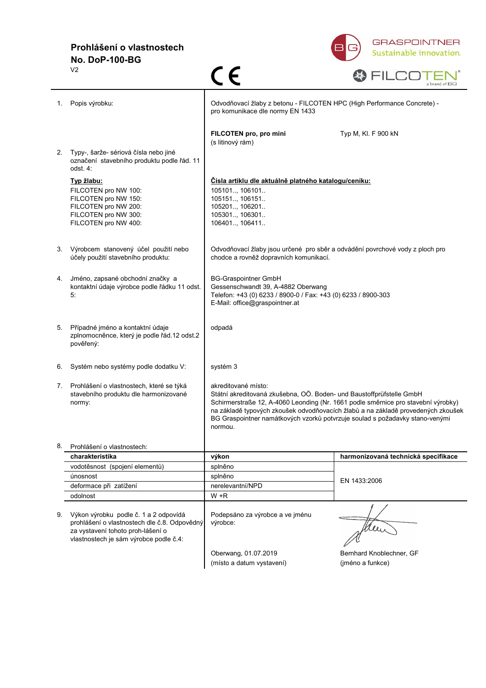# **Prohlášení o vlastnostech No. DoP-100-BG**



|    | V <sub>2</sub>                                                                                                                                                       | C E                                                                                                                                                                                                                                                                                                                                                             | a brand of BG                                |
|----|----------------------------------------------------------------------------------------------------------------------------------------------------------------------|-----------------------------------------------------------------------------------------------------------------------------------------------------------------------------------------------------------------------------------------------------------------------------------------------------------------------------------------------------------------|----------------------------------------------|
| 1. | Popis výrobku:                                                                                                                                                       | Odvodňovací žlaby z betonu - FILCOTEN HPC (High Performance Concrete) -<br>pro komunikace dle normy EN 1433                                                                                                                                                                                                                                                     |                                              |
| 2. | Typy-, šarže- sériová čísla nebo jiné                                                                                                                                | FILCOTEN pro, pro mini<br>(s litinový rám)                                                                                                                                                                                                                                                                                                                      | Typ M, KI. F 900 kN                          |
|    | označení stavebního produktu podle řád. 11<br>odst. 4:                                                                                                               |                                                                                                                                                                                                                                                                                                                                                                 |                                              |
|    | <u>Typ žlabu:</u><br>FILCOTEN pro NW 100:<br>FILCOTEN pro NW 150:<br>FILCOTEN pro NW 200:<br>FILCOTEN pro NW 300:<br>FILCOTEN pro NW 400:                            | Císla artiklu dle aktuálně platného katalogu/ceníku:<br>105101, 106101<br>105151, 106151<br>105201, 106201<br>105301, 106301<br>106401., 106411.                                                                                                                                                                                                                |                                              |
| 3. | Výrobcem stanovený účel použití nebo<br>účely použití stavebního produktu:                                                                                           | Odvodňovací žlaby jsou určené pro sběr a odvádění povrchové vody z ploch pro<br>chodce a rovněž dopravních komunikací.                                                                                                                                                                                                                                          |                                              |
| 4. | Jméno, zapsané obchodní značky a<br>kontaktní údaje výrobce podle řádku 11 odst.<br>5.                                                                               | <b>BG-Graspointner GmbH</b><br>Gessenschwandt 39, A-4882 Oberwang<br>Telefon: +43 (0) 6233 / 8900-0 / Fax: +43 (0) 6233 / 8900-303<br>E-Mail: office@graspointner.at                                                                                                                                                                                            |                                              |
| 5. | Případné jméno a kontaktní údaje<br>zplnomocněnce, který je podle řád.12 odst.2<br>pověřený:                                                                         | odpadá                                                                                                                                                                                                                                                                                                                                                          |                                              |
| 6. | Systém nebo systémy podle dodatku V:                                                                                                                                 | systém 3                                                                                                                                                                                                                                                                                                                                                        |                                              |
| 7. | Prohlášení o vlastnostech, které se týká<br>stavebního produktu dle harmonizované<br>normy:                                                                          | akreditované místo:<br>Státní akreditovaná zkušebna, OÖ. Boden- und Baustoffprüfstelle GmbH<br>Schirmerstraße 12, A-4060 Leonding (Nr. 1661 podle směrnice pro stavební výrobky)<br>na základě typových zkoušek odvodňovacích žlabů a na základě provedených zkoušek<br>BG Graspointner namátkových vzorků potvrzuje soulad s požadavky stano-venými<br>normou. |                                              |
|    | 8. Prohlášení o vlastnostech:                                                                                                                                        |                                                                                                                                                                                                                                                                                                                                                                 |                                              |
|    | charakteristika                                                                                                                                                      | výkon                                                                                                                                                                                                                                                                                                                                                           | harmonizovaná technická specifikace          |
|    | vodotěsnost (spojení elementů)                                                                                                                                       | splněno                                                                                                                                                                                                                                                                                                                                                         |                                              |
|    | únosnost                                                                                                                                                             | splněno                                                                                                                                                                                                                                                                                                                                                         | EN 1433:2006                                 |
|    | deformace při zatížení                                                                                                                                               | nerelevantní/NPD                                                                                                                                                                                                                                                                                                                                                |                                              |
|    | odolnost                                                                                                                                                             | $W + R$                                                                                                                                                                                                                                                                                                                                                         |                                              |
| 9. | Výkon výrobku podle č. 1 a 2 odpovídá<br>prohlášení o vlastnostech dle č.8. Odpovědný<br>za vystavení tohoto proh-lášení o<br>vlastnostech je sám výrobce podle č.4: | Podepsáno za výrobce a ve jménu<br>výrobce:                                                                                                                                                                                                                                                                                                                     |                                              |
|    |                                                                                                                                                                      | Oberwang, 01.07.2019<br>(místo a datum vystavení)                                                                                                                                                                                                                                                                                                               | Bernhard Knoblechner, GF<br>(jméno a funkce) |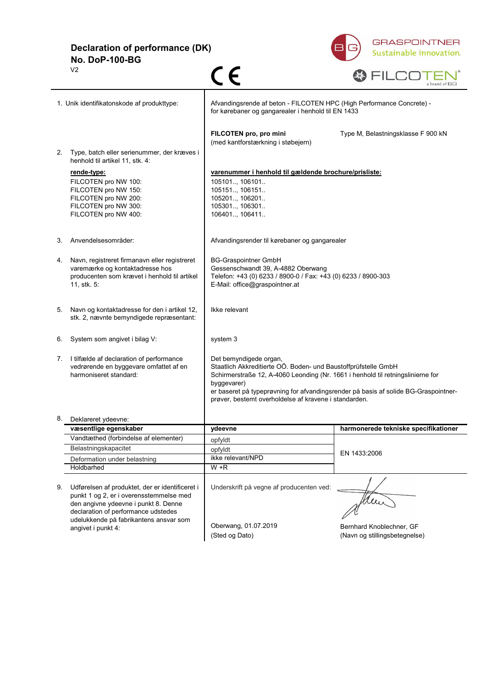**Declaration of performance (DK) No. DoP-100-BG**



|    | V <sub>2</sub>                                                                                                                                                                                                                    | C E                                                                                                                                                                                                                                                                                                                                        | a brand of BG                                             |
|----|-----------------------------------------------------------------------------------------------------------------------------------------------------------------------------------------------------------------------------------|--------------------------------------------------------------------------------------------------------------------------------------------------------------------------------------------------------------------------------------------------------------------------------------------------------------------------------------------|-----------------------------------------------------------|
|    | 1. Unik identifikatonskode af produkttype:                                                                                                                                                                                        | Afvandingsrende af beton - FILCOTEN HPC (High Performance Concrete) -<br>for kørebaner og gangarealer i henhold til EN 1433                                                                                                                                                                                                                |                                                           |
| 2. | Type, batch eller serienummer, der kræves i                                                                                                                                                                                       | FILCOTEN pro, pro mini<br>(med kantforstærkning i støbejern)                                                                                                                                                                                                                                                                               | Type M, Belastningsklasse F 900 kN                        |
|    | henhold til artikel 11, stk. 4:<br><u>rende-type:</u><br>FILCOTEN pro NW 100:<br>FILCOTEN pro NW 150:<br>FILCOTEN pro NW 200:<br>FILCOTEN pro NW 300:<br>FILCOTEN pro NW 400:                                                     | varenummer i henhold til gældende brochure/prisliste:<br>105101, 106101<br>105151, 106151<br>105201, 106201<br>105301, 106301<br>106401, 106411                                                                                                                                                                                            |                                                           |
| З. | Anvendelsesområder:                                                                                                                                                                                                               | Afvandingsrender til kørebaner og gangarealer                                                                                                                                                                                                                                                                                              |                                                           |
| 4. | Navn, registreret firmanavn eller registreret<br>varemærke og kontaktadresse hos<br>producenten som krævet i henhold til artikel<br>11, stk. 5:                                                                                   | <b>BG-Graspointner GmbH</b><br>Gessenschwandt 39, A-4882 Oberwang<br>Telefon: +43 (0) 6233 / 8900-0 / Fax: +43 (0) 6233 / 8900-303<br>E-Mail: office@graspointner.at                                                                                                                                                                       |                                                           |
| 5. | Navn og kontaktadresse for den i artikel 12,<br>stk. 2, nævnte bemyndigede repræsentant:                                                                                                                                          | Ikke relevant                                                                                                                                                                                                                                                                                                                              |                                                           |
| 6. | System som angivet i bilag V:                                                                                                                                                                                                     | system 3                                                                                                                                                                                                                                                                                                                                   |                                                           |
| 7. | I tilfælde af declaration of performance<br>vedrørende en byggevare omfattet af en<br>harmoniseret standard:                                                                                                                      | Det bemyndigede organ,<br>Staatlich Akkreditierte OÖ. Boden- und Baustoffprüfstelle GmbH<br>Schirmerstraße 12, A-4060 Leonding (Nr. 1661 i henhold til retningslinierne for<br>byggevarer)<br>er baseret på typeprøvning for afvandingsrender på basis af solide BG-Graspointner-<br>prøver, bestemt overholdelse af kravene i standarden. |                                                           |
| 8. | Deklareret ydeevne:                                                                                                                                                                                                               |                                                                                                                                                                                                                                                                                                                                            |                                                           |
|    | væsentlige egenskaber                                                                                                                                                                                                             | ydeevne                                                                                                                                                                                                                                                                                                                                    | harmonerede tekniske specifikationer                      |
|    | Vandtæthed (forbindelse af elementer)                                                                                                                                                                                             | opfyldt                                                                                                                                                                                                                                                                                                                                    |                                                           |
|    | Belastningskapacitet                                                                                                                                                                                                              | opfyldt                                                                                                                                                                                                                                                                                                                                    | EN 1433:2006                                              |
|    | Deformation under belastning                                                                                                                                                                                                      | ikke relevant/NPD                                                                                                                                                                                                                                                                                                                          |                                                           |
| 9. | Holdbarhed<br>Udførelsen af produktet, der er identificeret i<br>punkt 1 og 2, er i overensstemmelse med<br>den angivne ydeevne i punkt 8. Denne<br>declaration of performance udstedes<br>udelukkende på fabrikantens ansvar som | $W + R$<br>Underskrift på vegne af producenten ved:                                                                                                                                                                                                                                                                                        | Men                                                       |
|    | angivet i punkt 4:                                                                                                                                                                                                                | Oberwang, 01.07.2019<br>(Sted og Dato)                                                                                                                                                                                                                                                                                                     | Bernhard Knoblechner, GF<br>(Navn og stillingsbetegnelse) |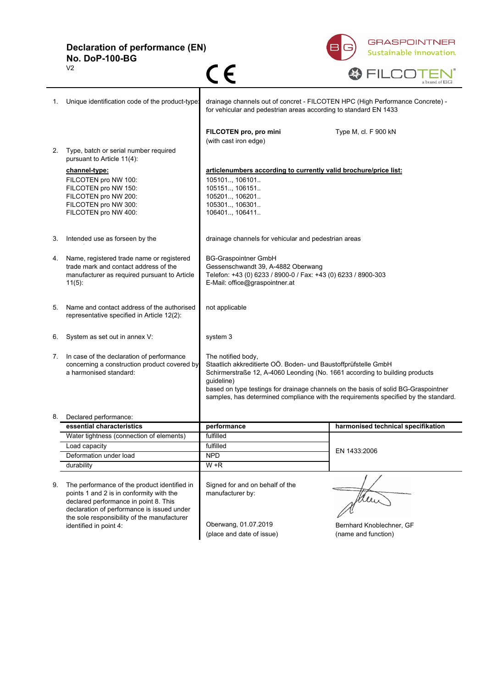**Declaration of performance (EN) No. DoP-100-BG**



|    | V <sub>2</sub>                                                                                                                                                                                                                 | CE                                                                                                                                                                                                                                                                                                                                                             | a brand of BG                                   |
|----|--------------------------------------------------------------------------------------------------------------------------------------------------------------------------------------------------------------------------------|----------------------------------------------------------------------------------------------------------------------------------------------------------------------------------------------------------------------------------------------------------------------------------------------------------------------------------------------------------------|-------------------------------------------------|
| 1. | Unique identification code of the product-type:                                                                                                                                                                                | drainage channels out of concret - FILCOTEN HPC (High Performance Concrete) -<br>for vehicular and pedestrian areas according to standard EN 1433                                                                                                                                                                                                              |                                                 |
|    |                                                                                                                                                                                                                                | FILCOTEN pro, pro mini<br>(with cast iron edge)                                                                                                                                                                                                                                                                                                                | Type M, cl. F 900 kN                            |
| 2. | Type, batch or serial number required<br>pursuant to Article 11(4):                                                                                                                                                            |                                                                                                                                                                                                                                                                                                                                                                |                                                 |
|    | channel-type:                                                                                                                                                                                                                  | articlenumbers according to currently valid brochure/price list:                                                                                                                                                                                                                                                                                               |                                                 |
|    | FILCOTEN pro NW 100:<br>FILCOTEN pro NW 150:<br>FILCOTEN pro NW 200:<br>FILCOTEN pro NW 300:<br>FILCOTEN pro NW 400:                                                                                                           | 105101, 106101<br>105151, 106151<br>105201., 106201<br>105301, 106301<br>106401, 106411                                                                                                                                                                                                                                                                        |                                                 |
| 3. | Intended use as forseen by the                                                                                                                                                                                                 | drainage channels for vehicular and pedestrian areas                                                                                                                                                                                                                                                                                                           |                                                 |
| 4. | Name, registered trade name or registered<br>trade mark and contact address of the<br>manufacturer as required pursuant to Article<br>$11(5)$ :                                                                                | <b>BG-Graspointner GmbH</b><br>Gessenschwandt 39, A-4882 Oberwang<br>Telefon: +43 (0) 6233 / 8900-0 / Fax: +43 (0) 6233 / 8900-303<br>E-Mail: office@graspointner.at                                                                                                                                                                                           |                                                 |
| 5. | Name and contact address of the authorised<br>representative specified in Article 12(2):                                                                                                                                       | not applicable                                                                                                                                                                                                                                                                                                                                                 |                                                 |
| 6. | System as set out in annex V:                                                                                                                                                                                                  | system 3                                                                                                                                                                                                                                                                                                                                                       |                                                 |
| 7. | In case of the declaration of performance<br>concerning a construction product covered by<br>a harmonised standard:                                                                                                            | The notified body,<br>Staatlich akkreditierte OÖ. Boden- und Baustoffprüfstelle GmbH<br>Schirmerstraße 12, A-4060 Leonding (No. 1661 according to building products<br>quideline)<br>based on type testings for drainage channels on the basis of solid BG-Graspointner<br>samples, has determined compliance with the requirements specified by the standard. |                                                 |
| 8. | Declared performance:                                                                                                                                                                                                          |                                                                                                                                                                                                                                                                                                                                                                |                                                 |
|    | essential characteristics                                                                                                                                                                                                      | performance                                                                                                                                                                                                                                                                                                                                                    | harmonised technical specifikation              |
|    | Water tightness (connection of elements)                                                                                                                                                                                       | fulfilled                                                                                                                                                                                                                                                                                                                                                      |                                                 |
|    | Load capacity                                                                                                                                                                                                                  | fulfilled                                                                                                                                                                                                                                                                                                                                                      | EN 1433:2006                                    |
|    | Deformation under load                                                                                                                                                                                                         | <b>NPD</b>                                                                                                                                                                                                                                                                                                                                                     |                                                 |
|    | durability                                                                                                                                                                                                                     | $W + R$                                                                                                                                                                                                                                                                                                                                                        |                                                 |
| 9. | The performance of the product identified in<br>points 1 and 2 is in conformity with the<br>declared performance in point 8. This<br>declaration of performance is issued under<br>the sole responsibility of the manufacturer | Signed for and on behalf of the<br>manufacturer by:                                                                                                                                                                                                                                                                                                            | Mer                                             |
|    | identified in point 4:                                                                                                                                                                                                         | Oberwang, 01.07.2019<br>(place and date of issue)                                                                                                                                                                                                                                                                                                              | Bernhard Knoblechner, GF<br>(name and function) |
|    |                                                                                                                                                                                                                                |                                                                                                                                                                                                                                                                                                                                                                |                                                 |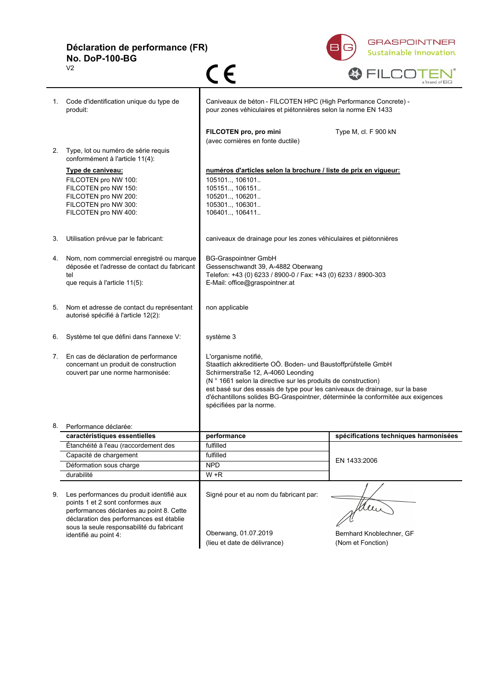**Déclaration de performance (FR) No. DoP-100-BG**  $C \in$ 

 $\overline{V2}$ 



|                                                           |                                                                                                                                                                                                                                             |                                                                                                                                                                                                                                                                                                                                                                                              | a pianu vi Lic                        |
|-----------------------------------------------------------|---------------------------------------------------------------------------------------------------------------------------------------------------------------------------------------------------------------------------------------------|----------------------------------------------------------------------------------------------------------------------------------------------------------------------------------------------------------------------------------------------------------------------------------------------------------------------------------------------------------------------------------------------|---------------------------------------|
| Code d'identification unique du type de<br>1.<br>produit: |                                                                                                                                                                                                                                             | Caniveaux de béton - FILCOTEN HPC (High Performance Concrete) -<br>pour zones véhiculaires et piétonnières selon la norme EN 1433                                                                                                                                                                                                                                                            |                                       |
|                                                           |                                                                                                                                                                                                                                             | FILCOTEN pro, pro mini<br>(avec cornières en fonte ductile)                                                                                                                                                                                                                                                                                                                                  | Type M, cl. F 900 kN                  |
| 2.                                                        | Type, lot ou numéro de série requis<br>conformément à l'article 11(4):                                                                                                                                                                      |                                                                                                                                                                                                                                                                                                                                                                                              |                                       |
|                                                           | Type de caniveau:<br>FILCOTEN pro NW 100:<br>FILCOTEN pro NW 150:<br>FILCOTEN pro NW 200:<br>FILCOTEN pro NW 300:<br>FILCOTEN pro NW 400:                                                                                                   | numéros d'articles selon la brochure / liste de prix en vigueur:<br>105101, 106101<br>105151 106151<br>105201, 106201<br>105301, 106301<br>106401., 106411.                                                                                                                                                                                                                                  |                                       |
| 3.                                                        | Utilisation prévue par le fabricant:                                                                                                                                                                                                        | caniveaux de drainage pour les zones véhiculaires et piétonnières                                                                                                                                                                                                                                                                                                                            |                                       |
| 4.                                                        | Nom, nom commercial enregistré ou marque<br>déposée et l'adresse de contact du fabricant<br>tel<br>que requis à l'article 11(5):                                                                                                            | <b>BG-Graspointner GmbH</b><br>Gessenschwandt 39, A-4882 Oberwang<br>Telefon: +43 (0) 6233 / 8900-0 / Fax: +43 (0) 6233 / 8900-303<br>E-Mail: office@graspointner.at                                                                                                                                                                                                                         |                                       |
| 5.                                                        | Nom et adresse de contact du représentant<br>autorisé spécifié à l'article 12(2):                                                                                                                                                           | non applicable                                                                                                                                                                                                                                                                                                                                                                               |                                       |
| 6.                                                        | Système tel que défini dans l'annexe V:                                                                                                                                                                                                     | système 3                                                                                                                                                                                                                                                                                                                                                                                    |                                       |
| 7.                                                        | En cas de déclaration de performance<br>concernant un produit de construction<br>couvert par une norme harmonisée:                                                                                                                          | L'organisme notifié,<br>Staatlich akkreditierte OÖ. Boden- und Baustoffprüfstelle GmbH<br>Schirmerstraße 12, A-4060 Leonding<br>(N ° 1661 selon la directive sur les produits de construction)<br>est basé sur des essais de type pour les caniveaux de drainage, sur la base<br>d'échantillons solides BG-Graspointner, déterminée la conformitée aux exigences<br>spécifiées par la norme. |                                       |
| 8.                                                        | Performance déclarée:                                                                                                                                                                                                                       |                                                                                                                                                                                                                                                                                                                                                                                              |                                       |
|                                                           | caractéristiques essentielles                                                                                                                                                                                                               | performance                                                                                                                                                                                                                                                                                                                                                                                  | spécifications techniques harmonisées |
|                                                           | Étanchéité à l'eau (raccordement des                                                                                                                                                                                                        | fulfilled                                                                                                                                                                                                                                                                                                                                                                                    |                                       |
|                                                           | Capacité de chargement                                                                                                                                                                                                                      | fulfilled                                                                                                                                                                                                                                                                                                                                                                                    | EN 1433:2006                          |
|                                                           | Déformation sous charge<br>durabilité                                                                                                                                                                                                       | <b>NPD</b><br>$W + R$                                                                                                                                                                                                                                                                                                                                                                        |                                       |
|                                                           |                                                                                                                                                                                                                                             |                                                                                                                                                                                                                                                                                                                                                                                              |                                       |
| 9.                                                        | Les performances du produit identifié aux<br>points 1 et 2 sont conformes aux<br>performances déclarées au point 8. Cette<br>déclaration des performances est établie<br>sous la seule responsabilité du fabricant<br>identifié au point 4: | Signé pour et au nom du fabricant par:<br>Oberwang, 01.07.2019                                                                                                                                                                                                                                                                                                                               | Bernhard Knoblechner, GF              |
|                                                           |                                                                                                                                                                                                                                             | (lieu et date de délivrance)                                                                                                                                                                                                                                                                                                                                                                 | (Nom et Fonction)                     |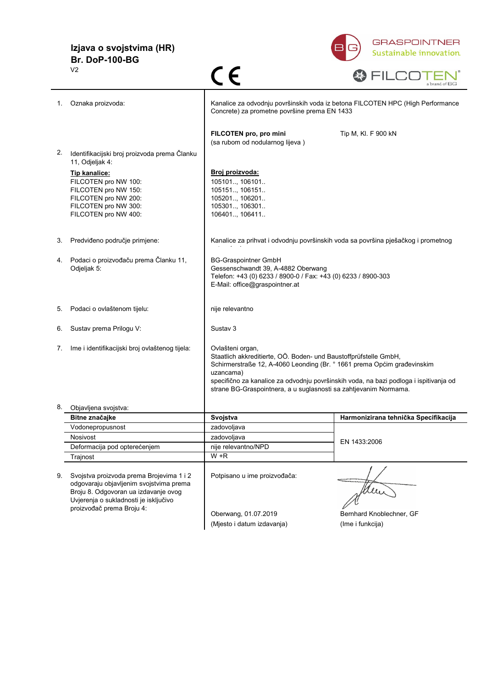#### **Izjava o svojstvima (HR) Br. DoP-100-BG** V2



| 1. | Oznaka proizvoda:                                                             | Kanalice za odvodnju površinskih voda iz betona FILCOTEN HPC (High Performance<br>Concrete) za prometne površine prema EN 1433 |                                                                                       |
|----|-------------------------------------------------------------------------------|--------------------------------------------------------------------------------------------------------------------------------|---------------------------------------------------------------------------------------|
|    |                                                                               | FILCOTEN pro, pro mini<br>(sa rubom od nodularnog lijeva)                                                                      | Tip M, KI. F 900 kN                                                                   |
| 2. | Identifikacijski broj proizvoda prema Članku                                  |                                                                                                                                |                                                                                       |
|    | 11, Odjeljak 4:<br>Tip kanalice:                                              | Broj proizvoda:                                                                                                                |                                                                                       |
|    | FILCOTEN pro NW 100:                                                          | 105101, 106101                                                                                                                 |                                                                                       |
|    | FILCOTEN pro NW 150:                                                          | 105151, 106151                                                                                                                 |                                                                                       |
|    | FILCOTEN pro NW 200:<br>FILCOTEN pro NW 300:                                  | 105201, 106201<br>105301, 106301                                                                                               |                                                                                       |
|    | FILCOTEN pro NW 400:                                                          | 106401, 106411                                                                                                                 |                                                                                       |
|    |                                                                               |                                                                                                                                |                                                                                       |
| 3. | Predviđeno područje primjene:                                                 | Kanalice za prihvat i odvodnju površinskih voda sa površina pješačkog i prometnog                                              |                                                                                       |
| 4. | Podaci o proizvođaču prema Članku 11,                                         | <b>BG-Graspointner GmbH</b>                                                                                                    |                                                                                       |
|    | Odjeljak 5:                                                                   | Gessenschwandt 39, A-4882 Oberwang                                                                                             |                                                                                       |
|    |                                                                               | Telefon: +43 (0) 6233 / 8900-0 / Fax: +43 (0) 6233 / 8900-303<br>E-Mail: office@graspointner.at                                |                                                                                       |
|    |                                                                               |                                                                                                                                |                                                                                       |
| 5. | Podaci o ovlaštenom tijelu:                                                   | nije relevantno                                                                                                                |                                                                                       |
|    |                                                                               |                                                                                                                                |                                                                                       |
| 6. | Sustav prema Prilogu V:                                                       | Sustav 3                                                                                                                       |                                                                                       |
| 7. | Ime i identifikacijski broj ovlaštenog tijela:                                | Ovlašteni organ,                                                                                                               |                                                                                       |
|    |                                                                               | Staatlich akkreditierte, OÖ. Boden- und Baustoffprüfstelle GmbH,                                                               |                                                                                       |
|    |                                                                               | Schirmerstraße 12, A-4060 Leonding (Br. ° 1661 prema Općim građevinskim<br>uzancama)                                           |                                                                                       |
|    |                                                                               |                                                                                                                                | specifično za kanalice za odvodnju površinskih voda, na bazi podloga i ispitivanja od |
|    |                                                                               | strane BG-Graspointnera, a u suglasnosti sa zahtjevanim Normama.                                                               |                                                                                       |
|    | 8. Objavljena svojstva:                                                       |                                                                                                                                |                                                                                       |
|    | Bitne značajke                                                                | Svojstva                                                                                                                       | Harmonizirana tehnička Specifikacija                                                  |
|    | Vodonepropusnost                                                              | zadovoljava                                                                                                                    |                                                                                       |
|    | Nosivost                                                                      | zadovoljava                                                                                                                    | EN 1433:2006                                                                          |
|    | Deformacija pod opterećenjem                                                  | nije relevantno/NPD<br>W +R                                                                                                    |                                                                                       |
|    | Trajnost                                                                      |                                                                                                                                |                                                                                       |
| 9. | Svojstva proizvoda prema Brojevima 1 i 2                                      | Potpisano u ime proizvođača:                                                                                                   |                                                                                       |
|    | odgovaraju objavljenim svojstvima prema                                       |                                                                                                                                |                                                                                       |
|    | Broju 8. Odgovoran ua izdavanje ovog<br>Uvjerenja o sukladnosti je isključivo |                                                                                                                                |                                                                                       |
|    | proizvođač prema Broju 4:                                                     |                                                                                                                                |                                                                                       |
|    |                                                                               | Oberwang, 01.07.2019                                                                                                           | Bernhard Knoblechner, GF                                                              |
|    |                                                                               | (Mjesto i datum izdavanja)                                                                                                     | (Ime i funkcija)                                                                      |

 $C \in$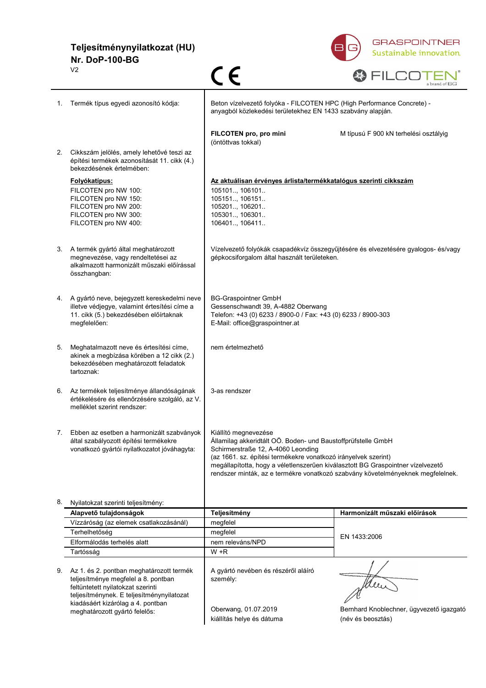**Teljesítménynyilatkozat (HU) Nr. DoP-100-BG**



|    | V <sub>2</sub>                                                                                                                                                                                         | ( $\epsilon$                                                                                                                                                                                                                                                                                                                                                       | a brand of BG                                                 |
|----|--------------------------------------------------------------------------------------------------------------------------------------------------------------------------------------------------------|--------------------------------------------------------------------------------------------------------------------------------------------------------------------------------------------------------------------------------------------------------------------------------------------------------------------------------------------------------------------|---------------------------------------------------------------|
| 1. | Termék típus egyedi azonosító kódja:                                                                                                                                                                   | Beton vízelvezető folyóka - FILCOTEN HPC (High Performance Concrete) -<br>anyagból közlekedési területekhez EN 1433 szabvány alapján.                                                                                                                                                                                                                              |                                                               |
|    |                                                                                                                                                                                                        | FILCOTEN pro, pro mini<br>(öntöttvas tokkal)                                                                                                                                                                                                                                                                                                                       | M típusú F 900 kN terhelési osztályig                         |
| 2. | Cikkszám jelölés, amely lehetővé teszi az<br>építési termékek azonosítását 11. cikk (4.)<br>bekezdésének értelmében:                                                                                   |                                                                                                                                                                                                                                                                                                                                                                    |                                                               |
|    | <b>Folyókatípus:</b><br>FILCOTEN pro NW 100:                                                                                                                                                           | Az aktuálisan érvényes árlista/termékkatalógus szerinti cikkszám<br>105101, 106101                                                                                                                                                                                                                                                                                 |                                                               |
|    | FILCOTEN pro NW 150:<br>FILCOTEN pro NW 200:<br>FILCOTEN pro NW 300:<br>FILCOTEN pro NW 400:                                                                                                           | 105151, 106151<br>105201, 106201<br>105301, 106301<br>106401, 106411                                                                                                                                                                                                                                                                                               |                                                               |
|    | 3. A termék gyártó által meghatározott<br>megnevezése, vagy rendeltetései az<br>alkalmazott harmonizált műszaki előírással<br>összhangban:                                                             | Vízelvezető folyókák csapadékvíz összegyűjtésére és elvezetésére gyalogos- és/vagy<br>gépkocsiforgalom által használt területeken.                                                                                                                                                                                                                                 |                                                               |
|    | 4. A gyártó neve, bejegyzett kereskedelmi neve<br>illetve védjegye, valamint értesítési címe a<br>11. cikk (5.) bekezdésében előírtaknak<br>megfelelően:                                               | <b>BG-Graspointner GmbH</b><br>Gessenschwandt 39, A-4882 Oberwang<br>Telefon: +43 (0) 6233 / 8900-0 / Fax: +43 (0) 6233 / 8900-303<br>E-Mail: office@graspointner.at                                                                                                                                                                                               |                                                               |
| 5. | Meghatalmazott neve és értesítési címe,<br>akinek a megbízása körében a 12 cikk (2.)<br>bekezdésében meghatározott feladatok<br>tartoznak:                                                             | nem értelmezhető                                                                                                                                                                                                                                                                                                                                                   |                                                               |
| 6. | Az termékek teljesítménye állandóságának<br>értékelésére és ellenőrzésére szolgáló, az V.<br>melléklet szerint rendszer:                                                                               | 3-as rendszer                                                                                                                                                                                                                                                                                                                                                      |                                                               |
| 7. | Ebben az esetben a harmonizált szabványok<br>által szabályozott építési termékekre<br>vonatkozó gyártói nyilatkozatot jóváhagyta:                                                                      | Kiállító megnevezése<br>Államilag akkeridtált OÖ. Boden- und Baustoffprüfstelle GmbH<br>Schirmerstraße 12, A-4060 Leonding<br>(az 1661. sz. építési termékekre vonatkozó irányelvek szerint)<br>megállapította, hogy a véletlenszerűen kiválasztott BG Graspointner vízelvezető<br>rendszer minták, az e termékre vonatkozó szabvány követelményeknek megfelelnek. |                                                               |
|    | 8. Nyilatokzat szerinti teljesítmény:                                                                                                                                                                  |                                                                                                                                                                                                                                                                                                                                                                    |                                                               |
|    | Alapvető tulajdonságok                                                                                                                                                                                 | Teljesítmény                                                                                                                                                                                                                                                                                                                                                       | Harmonizált műszaki előírások                                 |
|    | Vízzáróság (az elemek csatlakozásánál)                                                                                                                                                                 | megfelel                                                                                                                                                                                                                                                                                                                                                           |                                                               |
|    | Terhelhetőség                                                                                                                                                                                          | megfelel                                                                                                                                                                                                                                                                                                                                                           | EN 1433:2006                                                  |
|    | Elformálodás terhelés alatt                                                                                                                                                                            | nem releváns/NPD                                                                                                                                                                                                                                                                                                                                                   |                                                               |
|    | Tartósság                                                                                                                                                                                              | W +R                                                                                                                                                                                                                                                                                                                                                               |                                                               |
| 9. | Az 1. és 2. pontban meghatározott termék<br>teljesítménye megfelel a 8. pontban<br>feltüntetett nyilatokzat szerinti<br>teljesítménynek. E teljesítménynyilatozat<br>kiadásáért kizárólag a 4. pontban | A gyártó nevében és részéről aláíró<br>személy:                                                                                                                                                                                                                                                                                                                    |                                                               |
|    | meghatározott gyártó felelős:                                                                                                                                                                          | Oberwang, 01.07.2019<br>kiállítás helye és dátuma                                                                                                                                                                                                                                                                                                                  | Bernhard Knoblechner, ügyvezető igazgató<br>(név és beosztás) |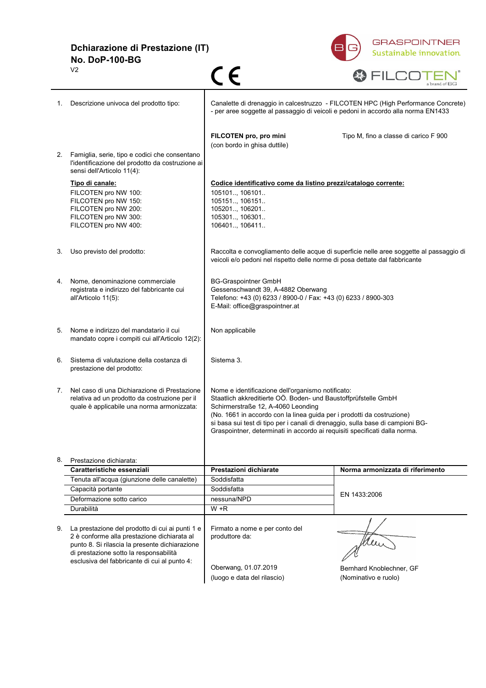**Dchiarazione di Prestazione (IT) No. DoP-100-BG**  $C \subseteq$ V2



|    |                                                                                                                                                                                                                                            |                                                                                                                                                                                                                                                                                                                                                                                                     | a brand of BG                                                                           |
|----|--------------------------------------------------------------------------------------------------------------------------------------------------------------------------------------------------------------------------------------------|-----------------------------------------------------------------------------------------------------------------------------------------------------------------------------------------------------------------------------------------------------------------------------------------------------------------------------------------------------------------------------------------------------|-----------------------------------------------------------------------------------------|
| 1. | Descrizione univoca del prodotto tipo:                                                                                                                                                                                                     | Canalette di drenaggio in calcestruzzo - FILCOTEN HPC (High Performance Concrete)<br>- per aree soggette al passaggio di veicoli e pedoni in accordo alla norma EN1433                                                                                                                                                                                                                              |                                                                                         |
|    |                                                                                                                                                                                                                                            | FILCOTEN pro, pro mini<br>(con bordo in ghisa duttile)                                                                                                                                                                                                                                                                                                                                              | Tipo M, fino a classe di carico F 900                                                   |
| 2. | Famiglia, serie, tipo e codici che consentano<br>l'identificazione del prodotto da costruzione ai<br>sensi dell'Articolo 11(4):                                                                                                            |                                                                                                                                                                                                                                                                                                                                                                                                     |                                                                                         |
|    | Tipo di canale:<br>FILCOTEN pro NW 100:<br>FILCOTEN pro NW 150:<br>FILCOTEN pro NW 200:<br>FILCOTEN pro NW 300:<br>FILCOTEN pro NW 400:                                                                                                    | Codice identificativo come da listino prezzi/catalogo corrente:<br>105101, 106101<br>105151, 106151<br>105201, 106201<br>105301, 106301<br>106401, 106411                                                                                                                                                                                                                                           |                                                                                         |
| 3. | Uso previsto del prodotto:                                                                                                                                                                                                                 | veicoli e/o pedoni nel rispetto delle norme di posa dettate dal fabbricante                                                                                                                                                                                                                                                                                                                         | Raccolta e convogliamento delle acque di superficie nelle aree soggette al passaggio di |
| 4. | Nome, denominazione commerciale<br>registrata e indirizzo del fabbricante cui<br>all'Articolo 11(5):                                                                                                                                       | <b>BG-Graspointner GmbH</b><br>Gessenschwandt 39, A-4882 Oberwang<br>Telefono: +43 (0) 6233 / 8900-0 / Fax: +43 (0) 6233 / 8900-303<br>E-Mail: office@graspointner.at                                                                                                                                                                                                                               |                                                                                         |
| 5. | Nome e indirizzo del mandatario il cui<br>mandato copre i compiti cui all'Articolo 12(2):                                                                                                                                                  | Non applicabile                                                                                                                                                                                                                                                                                                                                                                                     |                                                                                         |
| 6. | Sistema di valutazione della costanza di<br>prestazione del prodotto:                                                                                                                                                                      | Sistema 3.                                                                                                                                                                                                                                                                                                                                                                                          |                                                                                         |
| 7. | Nel caso di una Dichiarazione di Prestazione<br>relativa ad un prodotto da costruzione per il<br>quale è applicabile una norma armonizzata:                                                                                                | Nome e identificazione dell'organismo notificato:<br>Staatlich akkreditierte OÖ. Boden- und Baustoffprüfstelle GmbH<br>Schirmerstraße 12, A-4060 Leonding<br>(No. 1661 in accordo con la linea guida per i prodotti da costruzione)<br>si basa sui test di tipo per i canali di drenaggio, sulla base di campioni BG-<br>Graspointner, determinati in accordo ai requisiti specificati dalla norma. |                                                                                         |
|    | 8. Prestazione dichiarata:                                                                                                                                                                                                                 |                                                                                                                                                                                                                                                                                                                                                                                                     |                                                                                         |
|    | Caratteristiche essenziali                                                                                                                                                                                                                 | Prestazioni dichiarate                                                                                                                                                                                                                                                                                                                                                                              | Norma armonizzata di riferimento                                                        |
|    | Tenuta all'acqua (giunzione delle canalette)                                                                                                                                                                                               | Soddisfatta                                                                                                                                                                                                                                                                                                                                                                                         |                                                                                         |
|    | Capacità portante                                                                                                                                                                                                                          | Soddisfatta                                                                                                                                                                                                                                                                                                                                                                                         | EN 1433:2006                                                                            |
|    | Deformazione sotto carico                                                                                                                                                                                                                  | nessuna/NPD                                                                                                                                                                                                                                                                                                                                                                                         |                                                                                         |
|    | Durabilità                                                                                                                                                                                                                                 | $W + R$                                                                                                                                                                                                                                                                                                                                                                                             |                                                                                         |
| 9. | La prestazione del prodotto di cui ai punti 1 e<br>2 è conforme alla prestazione dichiarata al<br>punto 8. Si rilascia la presente dichiarazione<br>di prestazione sotto la responsabilità<br>esclusiva del fabbricante di cui al punto 4: | Firmato a nome e per conto del<br>produttore da:<br>Oberwang, 01.07.2019                                                                                                                                                                                                                                                                                                                            | Bernhard Knoblechner, GF                                                                |
|    |                                                                                                                                                                                                                                            | (luogo e data del rilascio)                                                                                                                                                                                                                                                                                                                                                                         | (Nominativo e ruolo)                                                                    |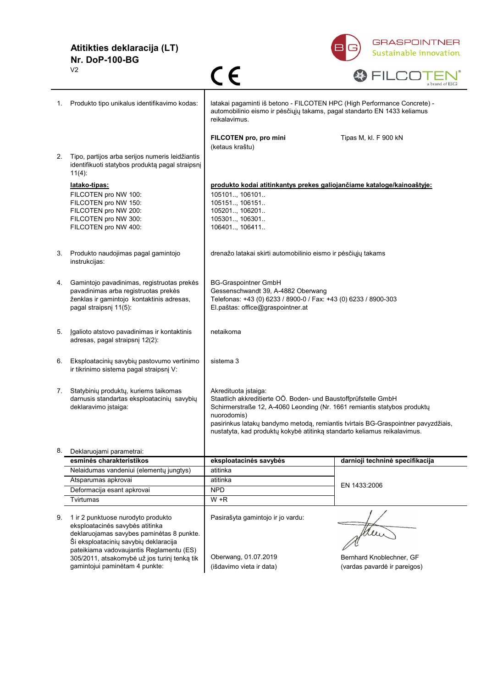### **Atitikties deklaracija (LT) Nr. DoP-100-BG** V2



|                                                    | V <sub>2</sub>                                                                                                                                                                                                                                          | $\in \epsilon$                                                                                                                                                                                                                                                                                                                                     | a brand of BG                   |
|----------------------------------------------------|---------------------------------------------------------------------------------------------------------------------------------------------------------------------------------------------------------------------------------------------------------|----------------------------------------------------------------------------------------------------------------------------------------------------------------------------------------------------------------------------------------------------------------------------------------------------------------------------------------------------|---------------------------------|
| Produkto tipo unikalus identifikavimo kodas:<br>1. |                                                                                                                                                                                                                                                         | latakai pagaminti iš betono - FILCOTEN HPC (High Performance Concrete) -<br>automobilinio eismo ir pėsčiųjų takams, pagal standarto EN 1433 keliamus<br>reikalavimus.                                                                                                                                                                              |                                 |
|                                                    |                                                                                                                                                                                                                                                         | FILCOTEN pro, pro mini<br>(ketaus kraštu)                                                                                                                                                                                                                                                                                                          | Tipas M, kl. F 900 kN           |
| 2.                                                 | Tipo, partijos arba serijos numeris leidžiantis<br>identifikuoti statybos produktą pagal straipsnį<br>$11(4)$ :                                                                                                                                         |                                                                                                                                                                                                                                                                                                                                                    |                                 |
|                                                    | latako-tipas:<br>FILCOTEN pro NW 100:<br>FILCOTEN pro NW 150:<br>FILCOTEN pro NW 200:<br>FILCOTEN pro NW 300:<br>FILCOTEN pro NW 400:                                                                                                                   | produkto kodai atitinkantys prekes galiojančiame kataloge/kainoaštyje:<br>105101, 106101<br>105151, 106151<br>105201, 106201<br>105301, 106301<br>106401, 106411                                                                                                                                                                                   |                                 |
| 3.                                                 | Produkto naudojimas pagal gamintojo<br>instrukcijas:                                                                                                                                                                                                    | drenažo latakai skirti automobilinio eismo ir pėsčiųjų takams                                                                                                                                                                                                                                                                                      |                                 |
| 4.                                                 | Gamintojo pavadinimas, registruotas prekės<br>pavadinimas arba registruotas prekės<br>ženklas ir gamintojo kontaktinis adresas,<br>pagal straipsnį 11(5):                                                                                               | <b>BG-Graspointner GmbH</b><br>Gessenschwandt 39, A-4882 Oberwang<br>Telefonas: +43 (0) 6233 / 8900-0 / Fax: +43 (0) 6233 / 8900-303<br>El.paštas: office@graspointner.at                                                                                                                                                                          |                                 |
| 5.                                                 | Įgalioto atstovo pavadinimas ir kontaktinis<br>adresas, pagal straipsnį 12(2):                                                                                                                                                                          | netaikoma                                                                                                                                                                                                                                                                                                                                          |                                 |
| 6.                                                 | Eksploatacinių savybių pastovumo vertinimo<br>ir tikrinimo sistema pagal straipsnį V:                                                                                                                                                                   | sistema 3                                                                                                                                                                                                                                                                                                                                          |                                 |
| 7.                                                 | Statybinių produktų, kuriems taikomas<br>darnusis standartas eksploatacinių savybių<br>deklaravimo įstaiga:                                                                                                                                             | Akredituota įstaiga:<br>Staatlich akkreditierte OÖ. Boden- und Baustoffprüfstelle GmbH<br>Schirmerstraße 12, A-4060 Leonding (Nr. 1661 remiantis statybos produktų<br>nuorodomis)<br>pasirinkus latakų bandymo metodą, remiantis tvirtais BG-Graspointner pavyzdžiais,<br>nustatyta, kad produktų kokybė atitinką standarto keliamus reikalavimus. |                                 |
| 8.                                                 | Deklaruojami parametrai:                                                                                                                                                                                                                                |                                                                                                                                                                                                                                                                                                                                                    |                                 |
|                                                    | esminės charakteristikos                                                                                                                                                                                                                                | eksploatacinės savybės                                                                                                                                                                                                                                                                                                                             | darnioji techninė specifikacija |
|                                                    | Nelaidumas vandeniui (elementų jungtys)                                                                                                                                                                                                                 | atitinka                                                                                                                                                                                                                                                                                                                                           |                                 |
|                                                    | Atsparumas apkrovai                                                                                                                                                                                                                                     | atitinka                                                                                                                                                                                                                                                                                                                                           | EN 1433:2006                    |
|                                                    | Deformacija esant apkrovai                                                                                                                                                                                                                              | <b>NPD</b>                                                                                                                                                                                                                                                                                                                                         |                                 |
|                                                    | Tvirtumas                                                                                                                                                                                                                                               | W +R                                                                                                                                                                                                                                                                                                                                               |                                 |
| 9.                                                 | 1 ir 2 punktuose nurodyto produkto<br>eksploatacinės savybės atitinka<br>deklaruojamas savybes paminėtas 8 punkte.<br>Ši eksploatacinių savybių deklaracija<br>pateikiama vadovaujantis Reglamentu (ES)<br>305/2011, atsakomybė už jos turinį tenką tik | Pasirašyta gamintojo ir jo vardu:<br>Oberwang, 01.07.2019                                                                                                                                                                                                                                                                                          | Bernhard Knoblechner, GF        |
|                                                    | gamintojui paminėtam 4 punkte:                                                                                                                                                                                                                          | (išdavimo vieta ir data)                                                                                                                                                                                                                                                                                                                           | (vardas pavardė ir pareigos)    |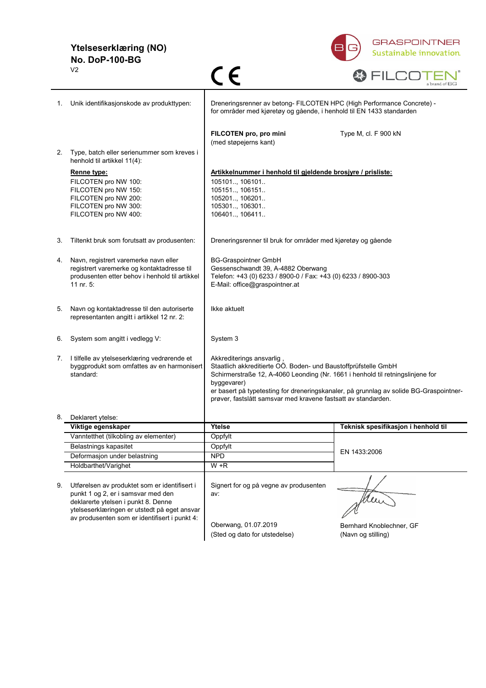### **Ytelseserklæring (NO) No. DoP-100-BG**



|    | V <sub>2</sub>                                                                                                                                                                                                              | C E                                                                                                                                                                                                                                                                                                                                                    | a brand of BG                       |
|----|-----------------------------------------------------------------------------------------------------------------------------------------------------------------------------------------------------------------------------|--------------------------------------------------------------------------------------------------------------------------------------------------------------------------------------------------------------------------------------------------------------------------------------------------------------------------------------------------------|-------------------------------------|
| 1. | Unik identifikasjonskode av produkttypen:                                                                                                                                                                                   | Dreneringsrenner av betong- FILCOTEN HPC (High Performance Concrete) -<br>for områder med kjøretøy og gående, i henhold til EN 1433 standarden                                                                                                                                                                                                         |                                     |
| 2. | Type, batch eller serienummer som kreves i                                                                                                                                                                                  | FILCOTEN pro, pro mini<br>(med støpejerns kant)                                                                                                                                                                                                                                                                                                        | Type M, cl. F 900 kN                |
|    | henhold til artikkel 11(4):                                                                                                                                                                                                 |                                                                                                                                                                                                                                                                                                                                                        |                                     |
|    | Renne type:<br>FILCOTEN pro NW 100:<br>FILCOTEN pro NW 150:<br>FILCOTEN pro NW 200:<br>FILCOTEN pro NW 300:<br>FILCOTEN pro NW 400:                                                                                         | Artikkelnummer i henhold til gjeldende brosjyre / prisliste:<br>105101 106101<br>105151, 106151<br>105201, 106201<br>105301., 106301.<br>106401., 106411.                                                                                                                                                                                              |                                     |
| 3. | Tiltenkt bruk som forutsatt av produsenten:                                                                                                                                                                                 | Dreneringsrenner til bruk for områder med kjøretøy og gående                                                                                                                                                                                                                                                                                           |                                     |
| 4. | Navn, registrert varemerke navn eller<br>registrert varemerke og kontaktadresse til<br>produsenten etter behov i henhold til artikkel<br>11 nr. 5:                                                                          | <b>BG-Graspointner GmbH</b><br>Gessenschwandt 39, A-4882 Oberwang<br>Telefon: +43 (0) 6233 / 8900-0 / Fax: +43 (0) 6233 / 8900-303<br>E-Mail: office@graspointner.at                                                                                                                                                                                   |                                     |
| 5. | Navn og kontaktadresse til den autoriserte<br>representanten angitt i artikkel 12 nr. 2:                                                                                                                                    | Ikke aktuelt                                                                                                                                                                                                                                                                                                                                           |                                     |
| 6. | System som angitt i vedlegg V:                                                                                                                                                                                              | System 3                                                                                                                                                                                                                                                                                                                                               |                                     |
| 7. | I tilfelle av ytelseserklæring vedrørende et<br>byggprodukt som omfattes av en harmonisert<br>standard:                                                                                                                     | Akkrediterings ansvarlig<br>Staatlich akkreditierte OÖ. Boden- und Baustoffprüfstelle GmbH<br>Schirmerstraße 12, A-4060 Leonding (Nr. 1661 i henhold til retningslinjene for<br>byggevarer)<br>er basert på typetesting for dreneringskanaler, på grunnlag av solide BG-Graspointner-<br>prøver, fastslått samsvar med kravene fastsatt av standarden. |                                     |
|    | Deklarert ytelse:                                                                                                                                                                                                           |                                                                                                                                                                                                                                                                                                                                                        |                                     |
|    | Viktige egenskaper                                                                                                                                                                                                          | Ytelse                                                                                                                                                                                                                                                                                                                                                 | Teknisk spesifikasjon i henhold til |
|    | Vanntetthet (tilkobling av elementer)                                                                                                                                                                                       | Oppfylt                                                                                                                                                                                                                                                                                                                                                |                                     |
|    | Belastnings kapasitet                                                                                                                                                                                                       | Oppfylt                                                                                                                                                                                                                                                                                                                                                |                                     |
|    | Deformasjon under belastning                                                                                                                                                                                                | <b>NPD</b>                                                                                                                                                                                                                                                                                                                                             | EN 1433:2006                        |
|    | Holdbarthet/Varighet                                                                                                                                                                                                        | $W + R$                                                                                                                                                                                                                                                                                                                                                |                                     |
| 9. | Utførelsen av produktet som er identifisert i<br>punkt 1 og 2, er i samsvar med den<br>deklarerte ytelsen i punkt 8. Denne<br>ytelseserklæringen er utstedt på eget ansvar<br>av produsenten som er identifisert i punkt 4: | Signert for og på vegne av produsenten<br>av:<br>Oberwang, 01.07.2019                                                                                                                                                                                                                                                                                  | Mexi<br>Bernhard Knoblechner, GF    |
|    |                                                                                                                                                                                                                             | (Sted og dato for utstedelse)                                                                                                                                                                                                                                                                                                                          | (Navn og stilling)                  |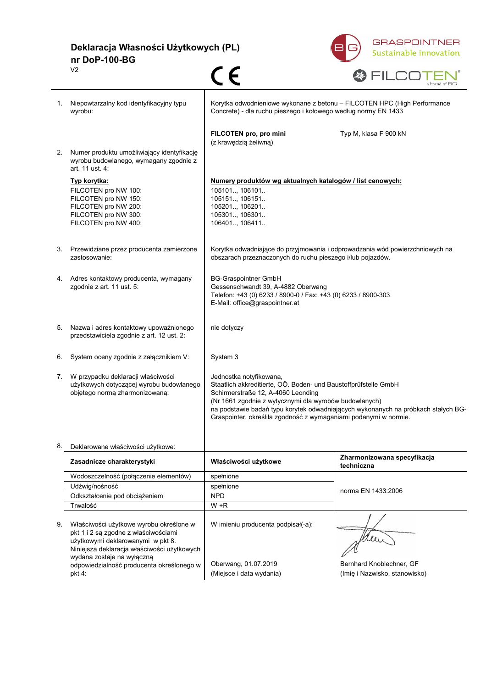**Deklaracja Własności Użytkowych (PL) nr DoP-100-BG**  $C \in$ V2



|    |                                                                                                         |                                                                                                                                            | a brand of BG                                                                     |
|----|---------------------------------------------------------------------------------------------------------|--------------------------------------------------------------------------------------------------------------------------------------------|-----------------------------------------------------------------------------------|
| 1. | Niepowtarzalny kod identyfikacyjny typu<br>wyrobu:                                                      | Korytka odwodnieniowe wykonane z betonu - FILCOTEN HPC (High Performance<br>Concrete) - dla ruchu pieszego i kołowego według normy EN 1433 |                                                                                   |
|    |                                                                                                         | FILCOTEN pro, pro mini<br>(z krawędzią żeliwną)                                                                                            | Typ M, klasa F 900 kN                                                             |
| 2. | Numer produktu umożliwiający identyfikację<br>wyrobu budowlanego, wymagany zgodnie z<br>art. 11 ust. 4: |                                                                                                                                            |                                                                                   |
|    | Typ korytka:                                                                                            | Numery produktów wg aktualnych katalogów / list cenowych:                                                                                  |                                                                                   |
|    | FILCOTEN pro NW 100:                                                                                    | 105101, 106101                                                                                                                             |                                                                                   |
|    | FILCOTEN pro NW 150:<br>FILCOTEN pro NW 200:                                                            | 105151, 106151<br>105201, 106201                                                                                                           |                                                                                   |
|    | FILCOTEN pro NW 300:                                                                                    | 105301, 106301                                                                                                                             |                                                                                   |
|    | FILCOTEN pro NW 400:                                                                                    | 106401, 106411                                                                                                                             |                                                                                   |
| 3. | Przewidziane przez producenta zamierzone                                                                | Korytka odwadniające do przyjmowania i odprowadzania wód powierzchniowych na                                                               |                                                                                   |
|    | zastosowanie:                                                                                           | obszarach przeznaczonych do ruchu pieszego i/lub pojazdów.                                                                                 |                                                                                   |
|    | 4. Adres kontaktowy producenta, wymagany                                                                | <b>BG-Graspointner GmbH</b>                                                                                                                |                                                                                   |
|    | zgodnie z art. 11 ust. 5:                                                                               | Gessenschwandt 39, A-4882 Oberwang<br>Telefon: +43 (0) 6233 / 8900-0 / Fax: +43 (0) 6233 / 8900-303                                        |                                                                                   |
|    |                                                                                                         | E-Mail: office@graspointner.at                                                                                                             |                                                                                   |
|    |                                                                                                         |                                                                                                                                            |                                                                                   |
| 5. | Nazwa i adres kontaktowy upoważnionego<br>przedstawiciela zgodnie z art. 12 ust. 2:                     | nie dotyczy                                                                                                                                |                                                                                   |
|    |                                                                                                         |                                                                                                                                            |                                                                                   |
| 6. | System oceny zgodnie z załącznikiem V:                                                                  | System 3                                                                                                                                   |                                                                                   |
| 7. | W przypadku deklaracji właściwości                                                                      | Jednostka notyfikowana,                                                                                                                    |                                                                                   |
|    | użytkowych dotyczącej wyrobu budowlanego<br>objętego normą zharmonizowaną:                              | Staatlich akkreditierte, OÖ. Boden- und Baustoffprüfstelle GmbH<br>Schirmerstraße 12, A-4060 Leonding                                      |                                                                                   |
|    |                                                                                                         | (Nr 1661 zgodnie z wytycznymi dla wyrobów budowlanych)                                                                                     |                                                                                   |
|    |                                                                                                         | Graspointer, określiła zgodność z wymaganiami podanymi w normie.                                                                           | na podstawie badań typu korytek odwadniających wykonanych na próbkach stałych BG- |
|    |                                                                                                         |                                                                                                                                            |                                                                                   |
| 8. | Deklarowane właściwości użytkowe:                                                                       |                                                                                                                                            |                                                                                   |
|    | Zasadnicze charakterystyki                                                                              | Właściwości użytkowe                                                                                                                       | Zharmonizowana specyfikacja<br>techniczna                                         |
|    | Wodoszczelność (połączenie elementów)                                                                   | spełnione                                                                                                                                  |                                                                                   |
|    | Udźwig/nośność                                                                                          | spełnione                                                                                                                                  | norma EN 1433:2006                                                                |
|    | Odkształcenie pod obciążeniem<br>Trwałość                                                               | <b>NPD</b><br>$W + R$                                                                                                                      |                                                                                   |
|    |                                                                                                         |                                                                                                                                            |                                                                                   |
| 9. | Właściwości użytkowe wyrobu określone w                                                                 | W imieniu producenta podpisał(-a):                                                                                                         |                                                                                   |
|    | pkt 1 i 2 są zgodne z właściwościami<br>użytkowymi deklarowanymi w pkt 8.                               |                                                                                                                                            |                                                                                   |
|    | Niniejsza deklaracja właściwości użytkowych                                                             |                                                                                                                                            |                                                                                   |
|    | wydana zostaje na wyłączną                                                                              |                                                                                                                                            |                                                                                   |
|    | odpowiedzialność producenta określonego w<br>pkt 4:                                                     | Oberwang, 01.07.2019<br>(Miejsce i data wydania)                                                                                           | Bernhard Knoblechner, GF<br>(Imię i Nazwisko, stanowisko)                         |
|    |                                                                                                         |                                                                                                                                            |                                                                                   |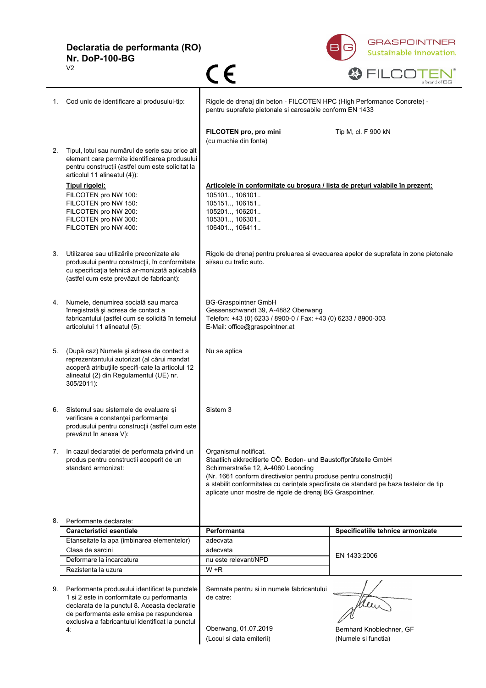**Declaratia de performanta (RO) Nr. DoP-100-BG**

 $C \in$ 

 $\sqrt{2}$ 





|    |                                                                                                                                                                                                                                               |                                                                                                                                                                                                                                                                                                                                                          | 1.111111111111                                  |
|----|-----------------------------------------------------------------------------------------------------------------------------------------------------------------------------------------------------------------------------------------------|----------------------------------------------------------------------------------------------------------------------------------------------------------------------------------------------------------------------------------------------------------------------------------------------------------------------------------------------------------|-------------------------------------------------|
|    | Cod unic de identificare al produsului-tip:                                                                                                                                                                                                   | Rigole de drenaj din beton - FILCOTEN HPC (High Performance Concrete) -<br>pentru suprafete pietonale si carosabile conform EN 1433                                                                                                                                                                                                                      |                                                 |
|    |                                                                                                                                                                                                                                               | FILCOTEN pro, pro mini<br>(cu muchie din fonta)                                                                                                                                                                                                                                                                                                          | Tip M, cl. F 900 kN                             |
| 2. | Tipul, lotul sau numărul de serie sau orice alt<br>element care permite identificarea produsului<br>pentru construcții (astfel cum este solicitat la<br>articolul 11 alineatul (4)):                                                          |                                                                                                                                                                                                                                                                                                                                                          |                                                 |
|    | Tipul rigolei:<br>FILCOTEN pro NW 100:<br>FILCOTEN pro NW 150:<br>FILCOTEN pro NW 200:<br>FILCOTEN pro NW 300:<br>FILCOTEN pro NW 400:                                                                                                        | Articolele în conformitate cu brosura / lista de preturi valabile în prezent:<br>105101, 106101<br>105151, 106151<br>105201, 106201<br>105301, 106301<br>106401., 106411.                                                                                                                                                                                |                                                 |
| 3. | Utilizarea sau utilizările preconizate ale<br>produsului pentru construcții, în conformitate<br>cu specificația tehnică ar-monizată aplicabilă<br>(astfel cum este prevăzut de fabricant):                                                    | Rigole de drenaj pentru preluarea si evacuarea apelor de suprafata in zone pietonale<br>si/sau cu trafic auto.                                                                                                                                                                                                                                           |                                                 |
| 4. | Numele, denumirea socială sau marca<br>înregistrată și adresa de contact a<br>fabricantului (astfel cum se solicită în temeiul<br>articolului 11 alineatul (5):                                                                               | <b>BG-Graspointner GmbH</b><br>Gessenschwandt 39, A-4882 Oberwang<br>Telefon: +43 (0) 6233 / 8900-0 / Fax: +43 (0) 6233 / 8900-303<br>E-Mail: office@graspointner.at                                                                                                                                                                                     |                                                 |
| 5. | (După caz) Numele și adresa de contact a<br>reprezentantului autorizat (al cărui mandat<br>acoperă atribuțiile specifi-cate la articolul 12<br>alineatul (2) din Regulamentul (UE) nr.<br>305/2011):                                          | Nu se aplica                                                                                                                                                                                                                                                                                                                                             |                                                 |
| 6. | Sistemul sau sistemele de evaluare și<br>verificare a constanței performanței<br>produsului pentru construcții (astfel cum este<br>prevăzut în anexa V):                                                                                      | Sistem 3                                                                                                                                                                                                                                                                                                                                                 |                                                 |
|    | In cazul declaratiei de performata privind un<br>produs pentru constructii acoperit de un<br>standard armonizat:                                                                                                                              | Organismul notificat.<br>Staatlich akkreditierte OÖ. Boden- und Baustoffprüfstelle GmbH<br>Schirmerstraße 12, A-4060 Leonding<br>(Nr. 1661 conform directivelor pentru produse pentru construcții)<br>a stabilit conformitatea cu cerințele specificate de standard pe baza testelor de tip<br>aplicate unor mostre de rigole de drenaj BG Graspointner. |                                                 |
| 8. | Performante declarate:                                                                                                                                                                                                                        |                                                                                                                                                                                                                                                                                                                                                          |                                                 |
|    | Caracteristici esentiale                                                                                                                                                                                                                      | Performanta                                                                                                                                                                                                                                                                                                                                              | Specificatiile tehnice armonizate               |
|    | Etanseitate la apa (imbinarea elementelor)                                                                                                                                                                                                    | adecvata                                                                                                                                                                                                                                                                                                                                                 |                                                 |
|    | Clasa de sarcini                                                                                                                                                                                                                              | adecvata                                                                                                                                                                                                                                                                                                                                                 | EN 1433:2006                                    |
|    | Deformare la incarcatura                                                                                                                                                                                                                      | nu este relevant/NPD                                                                                                                                                                                                                                                                                                                                     |                                                 |
|    | Rezistenta la uzura                                                                                                                                                                                                                           | $W + R$                                                                                                                                                                                                                                                                                                                                                  |                                                 |
| 9. | Performanta produsului identificat la punctele<br>1 si 2 este in conformitate cu performanta<br>declarata de la punctul 8. Aceasta declaratie<br>de performanta este emisa pe raspunderea<br>exclusiva a fabricantului identificat la punctul | Semnata pentru si in numele fabricantului<br>de catre:                                                                                                                                                                                                                                                                                                   |                                                 |
|    | 4.                                                                                                                                                                                                                                            | Oberwang, 01.07.2019<br>(Locul si data emiterii)                                                                                                                                                                                                                                                                                                         | Bernhard Knoblechner, GF<br>(Numele si functia) |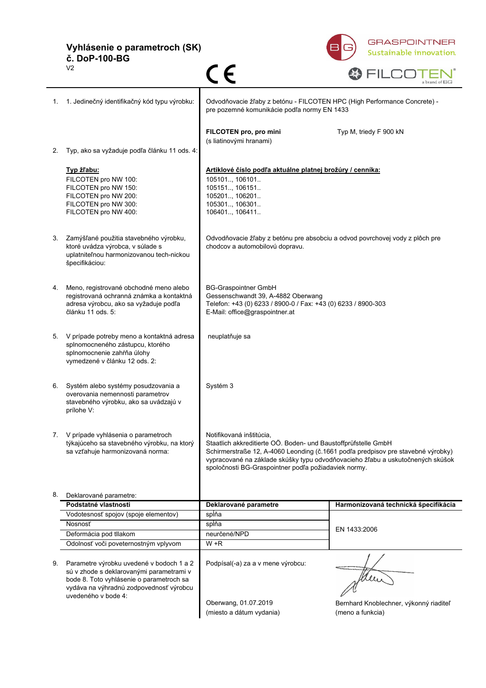**Vyhlásenie o parametroch (SK) č. DoP-100-BG**



|    | V <sub>2</sub>                                                                                                                                                                                     | $\epsilon$                                                                                                                                                                                                                                                                                                               | a brand of BG                                              |  |
|----|----------------------------------------------------------------------------------------------------------------------------------------------------------------------------------------------------|--------------------------------------------------------------------------------------------------------------------------------------------------------------------------------------------------------------------------------------------------------------------------------------------------------------------------|------------------------------------------------------------|--|
| 1. | 1. Jedinečný identifikačný kód typu výrobku:                                                                                                                                                       | Odvodňovacie žľaby z betónu - FILCOTEN HPC (High Performance Concrete) -<br>pre pozemné komunikácie podľa normy EN 1433                                                                                                                                                                                                  |                                                            |  |
|    |                                                                                                                                                                                                    | FILCOTEN pro, pro mini<br>(s liatinovými hranami)                                                                                                                                                                                                                                                                        | Typ M, triedy F 900 kN                                     |  |
| 2. | Typ, ako sa vyžaduje podľa článku 11 ods. 4:                                                                                                                                                       |                                                                                                                                                                                                                                                                                                                          |                                                            |  |
|    | Typ žľabu:<br>FILCOTEN pro NW 100:<br>FILCOTEN pro NW 150:<br>FILCOTEN pro NW 200:<br>FILCOTEN pro NW 300:<br>FILCOTEN pro NW 400:                                                                 | Artiklové číslo podľa aktuálne platnej brožúry / cenníka:<br>105101., 106101.<br>105151, 106151<br>105201., 106201<br>105301, 106301<br>106401, 106411                                                                                                                                                                   |                                                            |  |
| 3. | Zamýšľané použitia stavebného výrobku,<br>ktoré uvádza výrobca, v súlade s<br>uplatniteľnou harmonizovanou tech-nickou<br>špecifikáciou:                                                           | Odvodňovacie žľaby z betónu pre absobciu a odvod povrchovej vody z plôch pre<br>chodcov a automobilovú dopravu.                                                                                                                                                                                                          |                                                            |  |
| 4. | Meno, registrované obchodné meno alebo<br>registrovaná ochranná známka a kontaktná<br>adresa výrobcu, ako sa vyžaduje podľa<br>článku 11 ods. 5:                                                   | <b>BG-Graspointner GmbH</b><br>Gessenschwandt 39, A-4882 Oberwang<br>Telefon: +43 (0) 6233 / 8900-0 / Fax: +43 (0) 6233 / 8900-303<br>E-Mail: office@graspointner.at                                                                                                                                                     |                                                            |  |
| 5. | V prípade potreby meno a kontaktná adresa<br>splnomocneného zástupcu, ktorého<br>splnomocnenie zahŕňa úlohy<br>vymedzené v článku 12 ods. 2:                                                       | neuplatňuje sa                                                                                                                                                                                                                                                                                                           |                                                            |  |
| 6. | Systém alebo systémy posudzovania a<br>overovania nemennosti parametrov<br>stavebného výrobku, ako sa uvádzajú v<br>prílohe V:                                                                     | Systém 3                                                                                                                                                                                                                                                                                                                 |                                                            |  |
| 7. | V prípade vyhlásenia o parametroch<br>týkajúceho sa stavebného výrobku, na ktorý<br>sa vzťahuje harmonizovaná norma:                                                                               | Notifikovaná inštitúcia,<br>Staatlich akkreditierte OÖ. Boden- und Baustoffprüfstelle GmbH<br>Schirmerstraße 12, A-4060 Leonding (č.1661 podľa predpisov pre stavebné výrobky)<br>vypracované na základe skúšky typu odvodňovacieho žľabu a uskutočnených skúšok<br>spoločnosti BG-Graspointner podľa požiadaviek normy. |                                                            |  |
| 8. | Deklarované parametre:                                                                                                                                                                             |                                                                                                                                                                                                                                                                                                                          |                                                            |  |
|    | Podstatné vlastnosti                                                                                                                                                                               | Deklarované parametre                                                                                                                                                                                                                                                                                                    | Harmonizovaná technická špecifikácia                       |  |
|    | Vodotesnosť spojov (spoje elementov)                                                                                                                                                               | spĺňa                                                                                                                                                                                                                                                                                                                    | EN 1433:2006                                               |  |
|    | Nosnosť                                                                                                                                                                                            | spĺňa                                                                                                                                                                                                                                                                                                                    |                                                            |  |
|    | Deformácia pod tllakom                                                                                                                                                                             | neurčené/NPD                                                                                                                                                                                                                                                                                                             |                                                            |  |
|    | Odolnosť voči poveternostným vplyvom                                                                                                                                                               | $W + R$                                                                                                                                                                                                                                                                                                                  |                                                            |  |
| 9. | Parametre výrobku uvedené v bodoch 1 a 2<br>sú v zhode s deklarovanými parametrami v<br>bode 8. Toto vyhlásenie o parametroch sa<br>vydáva na výhradnú zodpovednosť výrobcu<br>uvedeného v bode 4: | Podpísal(-a) za a v mene výrobcu:                                                                                                                                                                                                                                                                                        | Men                                                        |  |
|    |                                                                                                                                                                                                    | Oberwang, 01.07.2019<br>(miesto a dátum vydania)                                                                                                                                                                                                                                                                         | Bernhard Knoblechner, výkonný riaditeľ<br>(meno a funkcia) |  |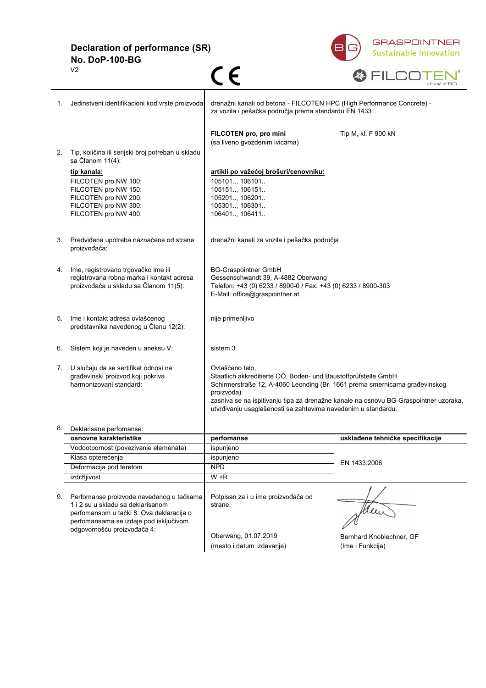**Declaration of performance (SR) No. DoP-100-BG**



|    | V <sub>2</sub>                                                                                                                                                                                     | C E                                                                                                                                                                                                                                                                                                                                    | a brand of BG                                |
|----|----------------------------------------------------------------------------------------------------------------------------------------------------------------------------------------------------|----------------------------------------------------------------------------------------------------------------------------------------------------------------------------------------------------------------------------------------------------------------------------------------------------------------------------------------|----------------------------------------------|
| 1. | Jedinstveni identifikacioni kod vrste proizvoda:                                                                                                                                                   | drenažni kanali od betona - FILCOTEN HPC (High Performance Concrete) -<br>za vozila i pešačka područja prema standardu EN 1433                                                                                                                                                                                                         |                                              |
| 2. | Tip, količina ili serijski broj potreban u skladu                                                                                                                                                  | FILCOTEN pro, pro mini<br>(sa liveno gvozdenim ivicama)                                                                                                                                                                                                                                                                                | Tip M, kl. F 900 kN                          |
|    | sa Članom 11(4):                                                                                                                                                                                   |                                                                                                                                                                                                                                                                                                                                        |                                              |
|    | tip kanala:<br>FILCOTEN pro NW 100:<br>FILCOTEN pro NW 150:<br>FILCOTEN pro NW 200:<br>FILCOTEN pro NW 300:<br>FILCOTEN pro NW 400:                                                                | artikli po važećoj brošuri/cenovniku:<br>105101, 106101<br>105151, 106151<br>105201, 106201<br>105301, 106301<br>106401., 106411.                                                                                                                                                                                                      |                                              |
| 3. | Predviđena upotreba naznačena od strane<br>proizvođača:                                                                                                                                            | drenažni kanali za vozila i pešačka područja                                                                                                                                                                                                                                                                                           |                                              |
| 4. | Ime, registrovano trgovačko ime ili<br>registrovana robna marka i kontakt adresa<br>proizvođača u skladu sa Članom 11(5):                                                                          | <b>BG-Graspointner GmbH</b><br>Gessenschwandt 39, A-4882 Oberwang<br>Telefon: +43 (0) 6233 / 8900-0 / Fax: +43 (0) 6233 / 8900-303<br>E-Mail: office@graspointner.at                                                                                                                                                                   |                                              |
| 5. | Ime i kontakt adresa ovlašćenog<br>predstavnika navedenog u Članu 12(2):                                                                                                                           | nije primenljivo                                                                                                                                                                                                                                                                                                                       |                                              |
| 6. | Sistem koji je naveden u aneksu V:                                                                                                                                                                 | sistem 3                                                                                                                                                                                                                                                                                                                               |                                              |
| 7. | U slučaju da se sertifikat odnosi na<br>građevinski proizvod koji pokriva<br>harmonizovani standard:                                                                                               | Ovlašćeno telo,<br>Staatlich akkreditierte OÖ. Boden- und Baustoffprüfstelle GmbH<br>Schirmerstraße 12, A-4060 Leonding (Br. 1661 prema smernicama građevinskog<br>proizvoda)<br>zasniva se na ispitivanju tipa za drenažne kanale na osnovu BG-Graspointner uzoraka,<br>utvrđivanju usaglašenosti sa zahtevima navedenim u standardu. |                                              |
| ୪. | Deklarisane perfomanse:                                                                                                                                                                            |                                                                                                                                                                                                                                                                                                                                        |                                              |
|    | osnovne karakteristike                                                                                                                                                                             | perfomanse                                                                                                                                                                                                                                                                                                                             | usklađene tehničke specifikacije             |
|    | Vodootpornost (povezivanje elemenata)                                                                                                                                                              | ispunjeno                                                                                                                                                                                                                                                                                                                              |                                              |
|    | Klasa opterećenja                                                                                                                                                                                  | ispunjeno                                                                                                                                                                                                                                                                                                                              | EN 1433:2006                                 |
|    | Deformacija pod teretom                                                                                                                                                                            | <b>NPD</b>                                                                                                                                                                                                                                                                                                                             |                                              |
|    | izdržljivost                                                                                                                                                                                       | $W + R$                                                                                                                                                                                                                                                                                                                                |                                              |
| 9. | Perfomanse proizvode navedenog u tačkama<br>1 i 2 su u skladu sa deklarisanom<br>perfomansom u tački 8. Ova deklaracija o<br>perfomansama se izdaje pod isključivom<br>odgovornošću proizvođača 4: | Potpisan za i u ime proizvođača od<br>strane:                                                                                                                                                                                                                                                                                          | Men                                          |
|    |                                                                                                                                                                                                    | Oberwang, 01.07.2019<br>(mesto i datum izdavanja)                                                                                                                                                                                                                                                                                      | Bernhard Knoblechner, GF<br>(Ime i Funkcija) |